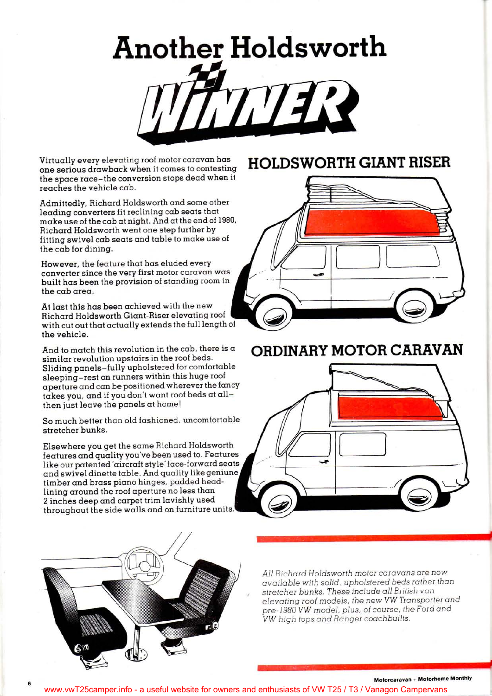# **Another Holdsworth** TTTER

Virtually every elevating roof motor caravan has one serious drawback when it comes to contesting the space race-the conversion stops dead when it reaches the vehicle cab.

Admittedly, Richard Holdsworth and some other leading converters fit reclining cab seats that  $m$ ake use of the cab at night. And at the end of 1980, Richard Holdsworth went one step further by fitting swivel cab seats and table to make use of the cab for dining .

However, the feature that has eluded every converter since the very first motor caravan was built has been the provision of standing room in the cab area.

At last this has been achieved with the new Richard Holdsworth Giant-Riser elevating roof with cut out that actually extends the full length of the vehicle.

And to match this revolution in the cab, there is a similar revolution upstairs in the roof beds. Sliding panels-fully upholstered for comfortable sleeping-rest on runners within this huge roof aperture and can be positioned wherever the fancy takes you, and if you don't want roof beds at all then just leave the panels at home!

So much better than old fashioned, uncomfortable stretcher bunks .

Elsewhere you get the same Richard Holdsworth features and quality you've been used to. Features like our patented 'aircraft style' face-forward seats and swivel dinette table. And quality like geniune, timber and brass piano hinges, padded headlining around the roof aperture no less than 2 inches deep and carpet trim lavishly used throughout the side walls and on furniture units

## **HOLDSWORTH GIANT RISER**



### **ORDINARY MOTOR CARAVAN**





*All Richard Holdsworth motor caravans are now available with solid, upholstered beds rather than stretcher bunks. These include all British van elevating roof models, the new VW Transporter and pre-1980 VW model, plus, of course, the Ford and VW high tops and Ranger coachbuilts.* 

### Motorcaravan + Motorhome Monthly